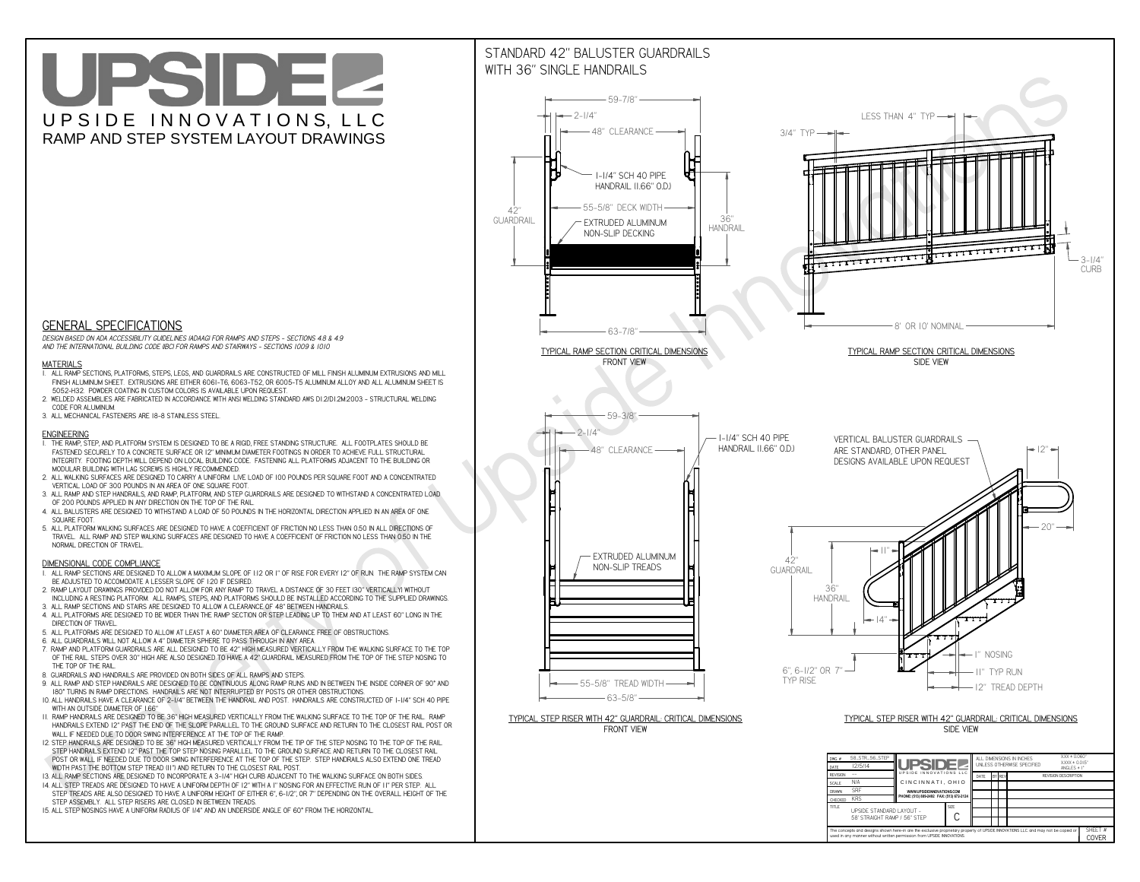**used in any manner without written permission from UPSIDE INNOVATIONS.**

# UPSIDEL UPSIDE INNOVATIONS, LLC RAMP AND STEP SYSTEM LAYOUT DRAWINGS

SHEET #**COVER**



The concepts and designs shown here-in are the exclusive proprietary property of UPSIDE INNOVATIONS LLC. and may not be copied o

**H** 

# WITH 36" SINGLE HANDRAILS



 *DESIGN BASED ON ADA ACCESSIBILITY GUIDELINES (ADAAG) FOR RAMPS AND STEPS - SECTIONS 4.8 & 4.9AND THE INTERNATIONAL BUILDING CODE (IBC) FOR RAMPS AND STAIRWAYS - SECTIONS 1009 & 1010*

#### **MATERIALS**

- **1. ALL RAMP SECTIONS, PLATFORMS, STEPS, LEGS, AND GUARDRAILS ARE CONSTRUCTED OF MILL FINISH ALUMINUM EXTRUSIONS AND MILL FINISH ALUMINUM SHEET. EXTRUSIONS ARE EITHER 6061-T6, 6063-T52, OR 6005-T5 ALUMINUM ALLOY AND ALL ALUMINUM SHEET IS 5052-H32. POWDER COATING IN CUSTOM COLORS IS AVAILABLE UPON REQUEST.**
- **2. WELDED ASSEMBLIES ARE FABRICATED IN ACCORDANCE WITH ANSI WELDING STANDARD AWS D1.2/D1.2M:2003 STRUCTURAL WELDING CODE FOR ALUMINUM.**
- **3. ALL MECHANICAL FASTENERS ARE 18-8 STAINLESS STEEL.**

#### **ENGINEERING**

- **1. THE RAMP, STEP, AND PLATFORM SYSTEM IS DESIGNED TO BE A RIGID, FREE STANDING STRUCTURE. ALL FOOTPLATES SHOULD BE FASTENED SECURELY TO A CONCRETE SURFACE OR 12" MINIMUM DIAMETER FOOTINGS IN ORDER TO ACHIEVE FULL STRUCTURAL INTEGRITY. FOOTING DEPTH WILL DEPEND ON LOCAL BUILDING CODE. FASTENING ALL PLATFORMS ADJACENT TO THE BUILDING OR MODULAR BUILDING WITH LAG SCREWS IS HIGHLY RECOMMENDED.**
- **2. ALL WALKING SURFACES ARE DESIGNED TO CARRY A UNIFORM LIVE LOAD OF 100 POUNDS PER SQUARE FOOT AND A CONCENTRATED VERTICAL LOAD OF 300 POUNDS IN AN AREA OF ONE SQUARE FOOT.**
- **3. ALL RAMP AND STEP HANDRAILS, AND RAMP, PLATFORM, AND STEP GUARDRAILS ARE DESIGNED TO WITHSTAND A CONCENTRATED LOAD OF 200 POUNDS APPLIED IN ANY DIRECTION ON THE TOP OF THE RAIL.**
- **4. ALL BALUSTERS ARE DESIGNED TO WITHSTAND A LOAD OF 50 POUNDS IN THE HORIZONTAL DIRECTION APPLIED IN AN AREA OF ONE SQUARE FOOT.**
- **5. ALL PLATFORM WALKING SURFACES ARE DESIGNED TO HAVE A COEFFICIENT OF FRICTION NO LESS THAN 0.50 IN ALL DIRECTIONS OF TRAVEL. ALL RAMP AND STEP WALKING SURFACES ARE DESIGNED TO HAVE A COEFFICIENT OF FRICTION NO LESS THAN 0.50 IN THE NORMAL DIRECTION OF TRAVEL.**

### **DIMENSIONAL CODE COMPLIANCE**

- **1. ALL RAMP SECTIONS ARE DESIGNED TO ALLOW A MAXIMUM SLOPE OF 1:12 OR 1" OF RISE FOR EVERY 12" OF RUN. THE RAMP SYSTEM CAN BE ADJUSTED TO ACCOMODATE A LESSER SLOPE OF 1:20 IF DESIRED.**
- **2. RAMP LAYOUT DRAWINGS PROVIDED DO NOT ALLOW FOR ANY RAMP TO TRAVEL A DISTANCE OF 30 FEET (30" VERTICALLY) WITHOUT INCLUDING A RESTING PLATFORM. ALL RAMPS, STEPS, AND PLATFORMS SHOULD BE INSTALLED ACCORDING TO THE SUPPLIED DRAWINGS.**
- **3. ALL RAMP SECTIONS AND STAIRS ARE DESIGNED TO ALLOW A CLEARANCE OF 48" BETWEEN HANDRAILS.**
- **4. ALL PLATFORMS ARE DESIGNED TO BE WIDER THAN THE RAMP SECTION OR STEP LEADING UP TO THEM AND AT LEAST 60" LONG IN THE DIRECTION OF TRAVEL.**
- **5. ALL PLATFORMS ARE DESIGNED TO ALLOW AT LEAST A 60" DIAMETER AREA OF CLEARANCE FREE OF OBSTRUCTIONS.**
- **6. ALL GUARDRAILS WILL NOT ALLOW A 4" DIAMETER SPHERE TO PASS THROUGH IN ANY AREA.**
- **7. RAMP AND PLATFORM GUARDRAILS ARE ALL DESIGNED TO BE 42" HIGH MEASURED VERTICALLY FROM THE WALKING SURFACE TO THE TOP OF THE RAIL. STEPS OVER 30" HIGH ARE ALSO DESIGNED TO HAVE A 42" GUARDRAIL MEASURED FROM THE TOP OF THE STEP NOSING TO THE TOP OF THE RAIL.**
- **8. GUARDRAILS AND HANDRAILS ARE PROVIDED ON BOTH SIDES OF ALL RAMPS AND STEPS.**
- **9. ALL RAMP AND STEP HANDRAILS ARE DESIGNED TO BE CONTINUOUS ALONG RAMP RUNS AND IN BETWEEN THE INSIDE CORNER OF 90° AND 180° TURNS IN RAMP DIRECTIONS. HANDRAILS ARE NOT INTERRUPTED BY POSTS OR OTHER OBSTRUCTIONS.**
- **10. ALL HANDRAILS HAVE A CLEARANCE OF 2-1/4" BETWEEN THE HANDRAIL AND POST. HANDRAILS ARE CONSTRUCTED OF 1-1/4" SCH 40 PIPE WITH AN OUTSIDE DIAMETER OF 1.66"**
- **11. RAMP HANDRAILS ARE DESIGNED TO BE 36" HIGH MEASURED VERTICALLY FROM THE WALKING SURFACE TO THE TOP OF THE RAIL. RAMP HANDRAILS EXTEND 12" PAST THE END OF THE SLOPE PARALLEL TO THE GROUND SURFACE AND RETURN TO THE CLOSEST RAIL POST OR WALL IF NEEDED DUE TO DOOR SWING INTERFERENCE AT THE TOP OF THE RAMP.**
- **12. STEP HANDRAILS ARE DESIGNED TO BE 36" HIGH MEASURED VERTICALLY FROM THE TIP OF THE STEP NOSING TO THE TOP OF THE RAIL. STEP HANDRAILS EXTEND 12" PAST THE TOP STEP NOSING PARALLEL TO THE GROUND SURFACE AND RETURN TO THE CLOSEST RAIL POST OR WALL IF NEEDED DUE TO DOOR SWING INTERFERENCE AT THE TOP OF THE STEP. STEP HANDRAILS ALSO EXTEND ONE TREAD WIDTH PAST THE BOTTOM STEP TREAD (11") AND RETURN TO THE CLOSEST RAIL POST.**
- **13. ALL RAMP SECTIONS ARE DESIGNED TO INCORPORATE A 3-1/4" HIGH CURB ADJACENT TO THE WALKING SURFACE ON BOTH SIDES.**
- **14. ALL STEP TREADS ARE DESIGNED TO HAVE A UNIFORM DEPTH OF 12" WITH A 1" NOSING FOR AN EFFECTIVE RUN OF 11" PER STEP. ALL**
- **STEP TREADS ARE ALSO DESIGNED TO HAVE A UNIFORM HEIGHT OF EITHER 6", 6-1/2", OR 7" DEPENDING ON THE OVERALL HEIGHT OF THE STEP ASSEMBLY. ALL STEP RISERS ARE CLOSED IN BETWEEN TREADS.**
- **15. ALL STEP NOSINGS HAVE A UNIFORM RADIUS OF 1/4" AND AN UNDERSIDE ANGLE OF 60° FROM THE HORIZONTAL.**